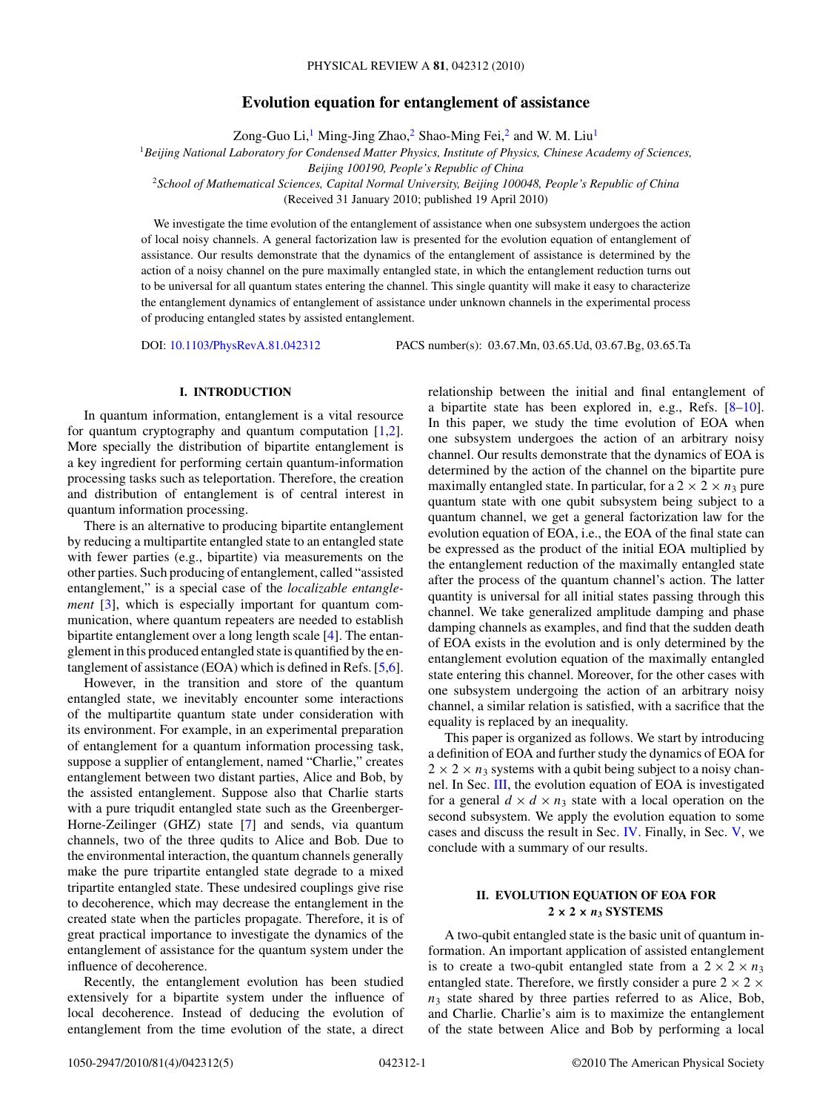# **Evolution equation for entanglement of assistance**

Zong-Guo Li,<sup>1</sup> Ming-Jing Zhao,<sup>2</sup> Shao-Ming Fei,<sup>2</sup> and W. M. Liu<sup>1</sup>

<sup>1</sup>*Beijing National Laboratory for Condensed Matter Physics, Institute of Physics, Chinese Academy of Sciences,*

*Beijing 100190, People's Republic of China*

<sup>2</sup>*School of Mathematical Sciences, Capital Normal University, Beijing 100048, People's Republic of China* (Received 31 January 2010; published 19 April 2010)

We investigate the time evolution of the entanglement of assistance when one subsystem undergoes the action of local noisy channels. A general factorization law is presented for the evolution equation of entanglement of assistance. Our results demonstrate that the dynamics of the entanglement of assistance is determined by the action of a noisy channel on the pure maximally entangled state, in which the entanglement reduction turns out to be universal for all quantum states entering the channel. This single quantity will make it easy to characterize the entanglement dynamics of entanglement of assistance under unknown channels in the experimental process of producing entangled states by assisted entanglement.

DOI: [10.1103/PhysRevA.81.042312](http://dx.doi.org/10.1103/PhysRevA.81.042312) PACS number(s): 03*.*67*.*Mn, 03*.*65*.*Ud, 03*.*67*.*Bg, 03*.*65*.*Ta

### **I. INTRODUCTION**

In quantum information, entanglement is a vital resource for quantum cryptography and quantum computation [\[1,2\]](#page-4-0). More specially the distribution of bipartite entanglement is a key ingredient for performing certain quantum-information processing tasks such as teleportation. Therefore, the creation and distribution of entanglement is of central interest in quantum information processing.

There is an alternative to producing bipartite entanglement by reducing a multipartite entangled state to an entangled state with fewer parties (e.g., bipartite) via measurements on the other parties. Such producing of entanglement, called "assisted entanglement," is a special case of the *localizable entanglement* [\[3\]](#page-4-0), which is especially important for quantum communication, where quantum repeaters are needed to establish bipartite entanglement over a long length scale [\[4\]](#page-4-0). The entanglement in this produced entangled state is quantified by the entanglement of assistance (EOA) which is defined in Refs. [\[5,6\]](#page-4-0).

However, in the transition and store of the quantum entangled state, we inevitably encounter some interactions of the multipartite quantum state under consideration with its environment. For example, in an experimental preparation of entanglement for a quantum information processing task, suppose a supplier of entanglement, named "Charlie," creates entanglement between two distant parties, Alice and Bob, by the assisted entanglement. Suppose also that Charlie starts with a pure triqudit entangled state such as the Greenberger-Horne-Zeilinger (GHZ) state [\[7\]](#page-4-0) and sends, via quantum channels, two of the three qudits to Alice and Bob. Due to the environmental interaction, the quantum channels generally make the pure tripartite entangled state degrade to a mixed tripartite entangled state. These undesired couplings give rise to decoherence, which may decrease the entanglement in the created state when the particles propagate. Therefore, it is of great practical importance to investigate the dynamics of the entanglement of assistance for the quantum system under the influence of decoherence.

Recently, the entanglement evolution has been studied extensively for a bipartite system under the influence of local decoherence. Instead of deducing the evolution of entanglement from the time evolution of the state, a direct relationship between the initial and final entanglement of a bipartite state has been explored in, e.g., Refs. [\[8–10\]](#page-4-0). In this paper, we study the time evolution of EOA when one subsystem undergoes the action of an arbitrary noisy channel. Our results demonstrate that the dynamics of EOA is determined by the action of the channel on the bipartite pure maximally entangled state. In particular, for a  $2 \times 2 \times n_3$  pure quantum state with one qubit subsystem being subject to a quantum channel, we get a general factorization law for the evolution equation of EOA, i.e., the EOA of the final state can be expressed as the product of the initial EOA multiplied by the entanglement reduction of the maximally entangled state after the process of the quantum channel's action. The latter quantity is universal for all initial states passing through this channel. We take generalized amplitude damping and phase damping channels as examples, and find that the sudden death of EOA exists in the evolution and is only determined by the entanglement evolution equation of the maximally entangled state entering this channel. Moreover, for the other cases with one subsystem undergoing the action of an arbitrary noisy channel, a similar relation is satisfied, with a sacrifice that the equality is replaced by an inequality.

This paper is organized as follows. We start by introducing a definition of EOA and further study the dynamics of EOA for  $2 \times 2 \times n_3$  systems with a qubit being subject to a noisy channel. In Sec. [III,](#page-2-0) the evolution equation of EOA is investigated for a general  $d \times d \times n_3$  state with a local operation on the second subsystem. We apply the evolution equation to some cases and discuss the result in Sec. [IV.](#page-3-0) Finally, in Sec. [V,](#page-3-0) we conclude with a summary of our results.

## **II. EVOLUTION EQUATION OF EOA FOR**  $2 \times 2 \times n_3$  **SYSTEMS**

A two-qubit entangled state is the basic unit of quantum information. An important application of assisted entanglement is to create a two-qubit entangled state from a  $2 \times 2 \times n_3$ entangled state. Therefore, we firstly consider a pure  $2 \times 2 \times$  $n_3$  state shared by three parties referred to as Alice, Bob, and Charlie. Charlie's aim is to maximize the entanglement of the state between Alice and Bob by performing a local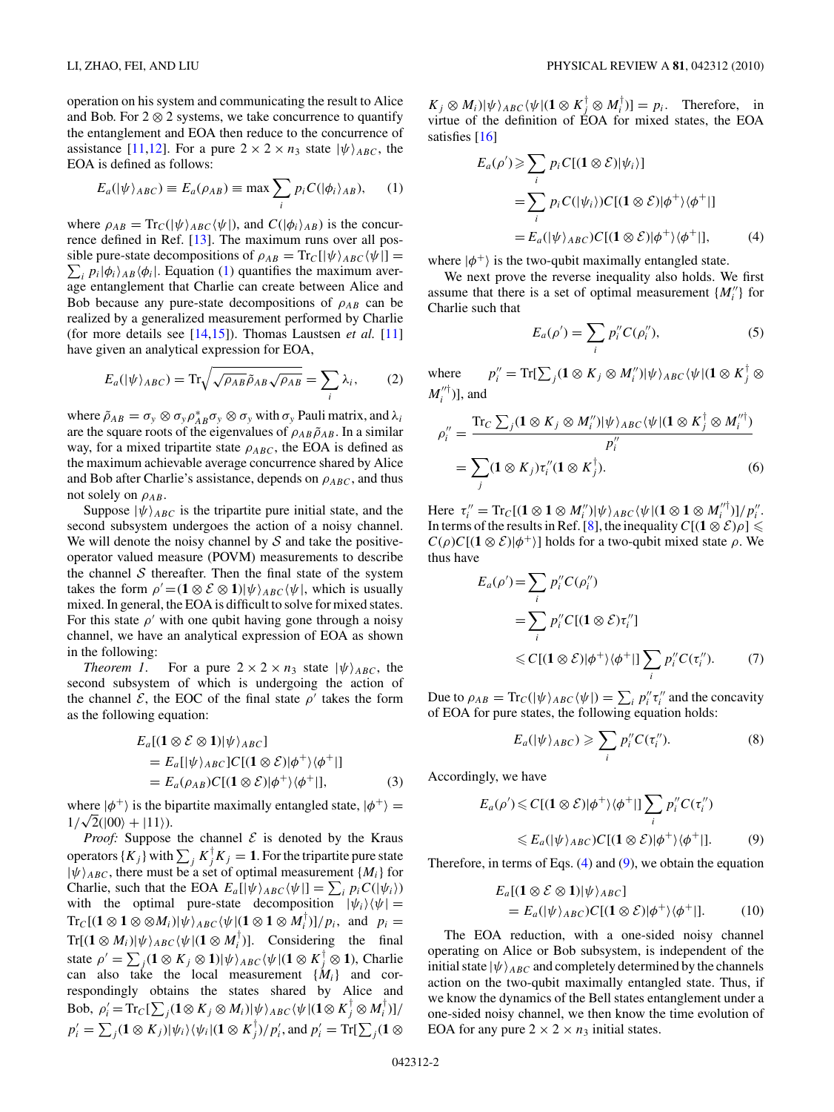<span id="page-1-0"></span>operation on his system and communicating the result to Alice and Bob. For  $2 \otimes 2$  systems, we take concurrence to quantify the entanglement and EOA then reduce to the concurrence of assistance [\[11,12\]](#page-4-0). For a pure  $2 \times 2 \times n_3$  state  $|\psi\rangle_{ABC}$ , the EOA is defined as follows:

$$
E_a(|\psi\rangle_{ABC}) \equiv E_a(\rho_{AB}) \equiv \max \sum_i p_i C(|\phi_i\rangle_{AB}), \quad (1)
$$

where  $\rho_{AB} = \text{Tr}_C(|\psi\rangle_{ABC} \langle \psi|)$ , and  $C(|\phi_i\rangle_{AB})$  is the concurrence defined in Ref. [\[13\]](#page-4-0). The maximum runs over all possible pure-state decompositions of  $\rho_{AB} = \text{Tr}_{C}[\psi\rangle_{ABC}\langle\psi|] =$  $\sum_i p_i |\phi_i\rangle_{AB} \langle \phi_i|$ . Equation (1) quantifies the maximum average entanglement that Charlie can create between Alice and Bob because any pure-state decompositions of  $\rho_{AB}$  can be realized by a generalized measurement performed by Charlie (for more details see [\[14,15\]](#page-4-0)). Thomas Laustsen *et al.* [\[11\]](#page-4-0) have given an analytical expression for EOA,

$$
E_a(|\psi\rangle_{ABC}) = \text{Tr}\sqrt{\sqrt{\rho_{AB}}\tilde{\rho}_{AB}\sqrt{\rho_{AB}}} = \sum_i \lambda_i, \qquad (2)
$$

where  $\tilde{\rho}_{AB} = \sigma_y \otimes \sigma_y \rho_{AB}^* \sigma_y \otimes \sigma_y$  with  $\sigma_y$  Pauli matrix, and  $\lambda_i$ are the square roots of the eigenvalues of  $\rho_{AB} \tilde{\rho}_{AB}$ . In a similar way, for a mixed tripartite state  $\rho_{ABC}$ , the EOA is defined as the maximum achievable average concurrence shared by Alice and Bob after Charlie's assistance, depends on  $\rho_{ABC}$ , and thus not solely on  $\rho_{AB}$ .

Suppose  $|\psi\rangle_{ABC}$  is the tripartite pure initial state, and the second subsystem undergoes the action of a noisy channel. We will denote the noisy channel by  $S$  and take the positiveoperator valued measure (POVM) measurements to describe the channel  $S$  thereafter. Then the final state of the system takes the form  $\rho' = (1 \otimes \mathcal{E} \otimes 1) \psi_{ABC} \langle \psi |$ , which is usually mixed. In general, the EOA is difficult to solve for mixed states. For this state  $\rho'$  with one qubit having gone through a noisy channel, we have an analytical expression of EOA as shown in the following:

*Theorem 1*. For a pure  $2 \times 2 \times n_3$  state  $|\psi\rangle_{ABC}$ , the second subsystem of which is undergoing the action of the channel  $\mathcal{E}$ , the EOC of the final state  $\rho'$  takes the form as the following equation:

$$
E_a[(1 \otimes \mathcal{E} \otimes 1)|\psi\rangle_{ABC}]
$$
  
=  $E_a[|\psi\rangle_{ABC}]C[(1 \otimes \mathcal{E})|\phi^+\rangle\langle\phi^+|]$   
=  $E_a(\rho_{AB})C[(1 \otimes \mathcal{E})|\phi^+\rangle\langle\phi^+|]$ , (3)

where  $|\phi^+\rangle$  is the bipartite maximally entangled state,  $|\phi^+\rangle$  = where  $|\varphi|$  is the b.<br>  $1/\sqrt{2}(|00\rangle + |11\rangle)$ .

*Proof:* Suppose the channel  $\mathcal E$  is denoted by the Kraus operators  $\{K_j\}$  with  $\sum_j K_j^\dagger K_j = 1$ . For the tripartite pure state  $|\psi\rangle_{ABC}$ , there must be a set of optimal measurement { $M_i$ } for Charlie, such that the EOA  $E_a[|\psi\rangle_{ABC} \langle \psi|] = \sum_i p_i C(|\psi_i\rangle)$ with the optimal pure-state decomposition  $|\psi_i\rangle\langle\psi|$  =  $\text{Tr}_{C}[(1 \otimes 1 \otimes \otimes M_{i})|\psi\rangle_{ABC}\langle\psi|(1 \otimes 1 \otimes M_{i}^{\dagger})]/p_{i}$ , and  $p_{i} =$  $Tr[(\mathbf{1} \otimes M_i)|\psi\rangle_{ABC}\langle\psi|(\mathbf{1} \otimes M_i^{\dagger})]$ . Considering the final state  $\rho' = \sum_j (1 \otimes K_j \otimes 1) |\psi\rangle_{ABC} \langle \psi | (1 \otimes K_j^{\dagger} \otimes 1),$  Charlie can also take the local measurement  $\{\dot{M}_i\}$  and correspondingly obtains the states shared by Alice and  $\text{Bob}, \ \rho_i' = \text{Tr}_C[\sum_j (\mathbf{1} \otimes K_j \otimes M_i)|\psi\rangle_{ABC} \langle \psi | (\mathbf{1} \otimes K_j^\dagger \otimes M_i^\dagger) ]/2$  $p'_i = \sum_j (\mathbf{1} \otimes K_j) |\psi_i\rangle \langle \psi_i| (\mathbf{1} \otimes K_j^{\dagger})/p'_i$ , and  $p'_i = \text{Tr}[\sum_j (\mathbf{1} \otimes K_j^{\dagger})/p'_i]$   $K_j \otimes M_i$ <sup> $|\psi\rangle_{ABC}$ </sup> $|\psi|$ **(1** $\otimes K_j^{\dagger} \otimes M_i^{\dagger}$ )] =  $p_i$ . Therefore, in virtue of the definition of EOA for mixed states, the EOA satisfies [\[16\]](#page-4-0)

$$
E_a(\rho') \geq \sum_i p_i C[(1 \otimes \mathcal{E})|\psi_i\rangle]
$$
  
= 
$$
\sum_i p_i C(|\psi_i\rangle) C[(1 \otimes \mathcal{E})|\phi^+\rangle\langle\phi^+|]
$$
  
= 
$$
E_a(|\psi\rangle_{ABC}) C[(1 \otimes \mathcal{E})|\phi^+\rangle\langle\phi^+|], \qquad (4)
$$

where  $|\phi^+\rangle$  is the two-qubit maximally entangled state.

We next prove the reverse inequality also holds. We first assume that there is a set of optimal measurement  ${M''_i}$  for Charlie such that

$$
E_a(\rho') = \sum_i p_i'' C(\rho_i''),\tag{5}
$$

where  $\mathcal{J}''_i = \text{Tr}[\sum_j (\mathbf{1} \otimes K_j \otimes M''_i) | \psi \rangle_{ABC} \langle \psi | (\mathbf{1} \otimes K_j^\dagger \otimes K_j) | \psi \rangle$  $M_i''^{\dagger})$ ], and

$$
\rho_i'' = \frac{\text{Tr}_C \sum_j (\mathbf{1} \otimes K_j \otimes M_i'') |\psi\rangle_{ABC} \langle \psi | (\mathbf{1} \otimes K_j^{\dagger} \otimes M_i''^{\dagger})}{p_i''}
$$
  
= 
$$
\sum_j (\mathbf{1} \otimes K_j) \tau_i'' (\mathbf{1} \otimes K_j^{\dagger}).
$$
 (6)

Here  $\tau_i'' = \text{Tr}_C[(1 \otimes 1 \otimes M_i'')|\psi\rangle_{ABC} \langle \psi | (1 \otimes 1 \otimes M_i''^{\dagger})]/p_i''$ . In terms of the results in Ref. [\[8\]](#page-4-0), the inequality  $C[(1 \otimes \mathcal{E})\rho] \le$  $C(\rho)C[(1 \otimes \mathcal{E})|\phi^+\rangle]$  holds for a two-qubit mixed state  $\rho$ . We thus have

$$
E_a(\rho') = \sum_i p_i'' C(\rho_i'')
$$
  
= 
$$
\sum_i p_i'' C[(1 \otimes \mathcal{E})\tau_i'']
$$
  

$$
\leq C[(1 \otimes \mathcal{E})|\phi^+\rangle\langle\phi^+||\sum_i p_i'' C(\tau_i'').
$$
 (7)

Due to  $\rho_{AB} = \text{Tr}_C(|\psi\rangle_{ABC} \langle \psi|) = \sum_i p_i'' \tau_i''$  and the concavity of EOA for pure states, the following equation holds:

$$
E_a(|\psi\rangle_{ABC}) \geqslant \sum_i p_i'' C(\tau_i''). \tag{8}
$$

Accordingly, we have

$$
E_a(\rho') \leq C[(1 \otimes \mathcal{E})|\phi^+\rangle\langle\phi^+|\right] \sum_i p_i'' C(\tau_i'')
$$
  

$$
\leq E_a(|\psi\rangle_{ABC}) C[(1 \otimes \mathcal{E})|\phi^+\rangle\langle\phi^+|\right]. \tag{9}
$$

Therefore, in terms of Eqs.  $(4)$  and  $(9)$ , we obtain the equation

$$
E_a[(1 \otimes \mathcal{E} \otimes 1)|\psi\rangle_{ABC}]
$$
  
=  $E_a(|\psi\rangle_{ABC})C[(1 \otimes \mathcal{E})|\phi^+\rangle\langle\phi^+|].$  (10)

The EOA reduction, with a one-sided noisy channel operating on Alice or Bob subsystem, is independent of the initial state  $|\psi\rangle_{ABC}$  and completely determined by the channels action on the two-qubit maximally entangled state. Thus, if we know the dynamics of the Bell states entanglement under a one-sided noisy channel, we then know the time evolution of EOA for any pure  $2 \times 2 \times n_3$  initial states.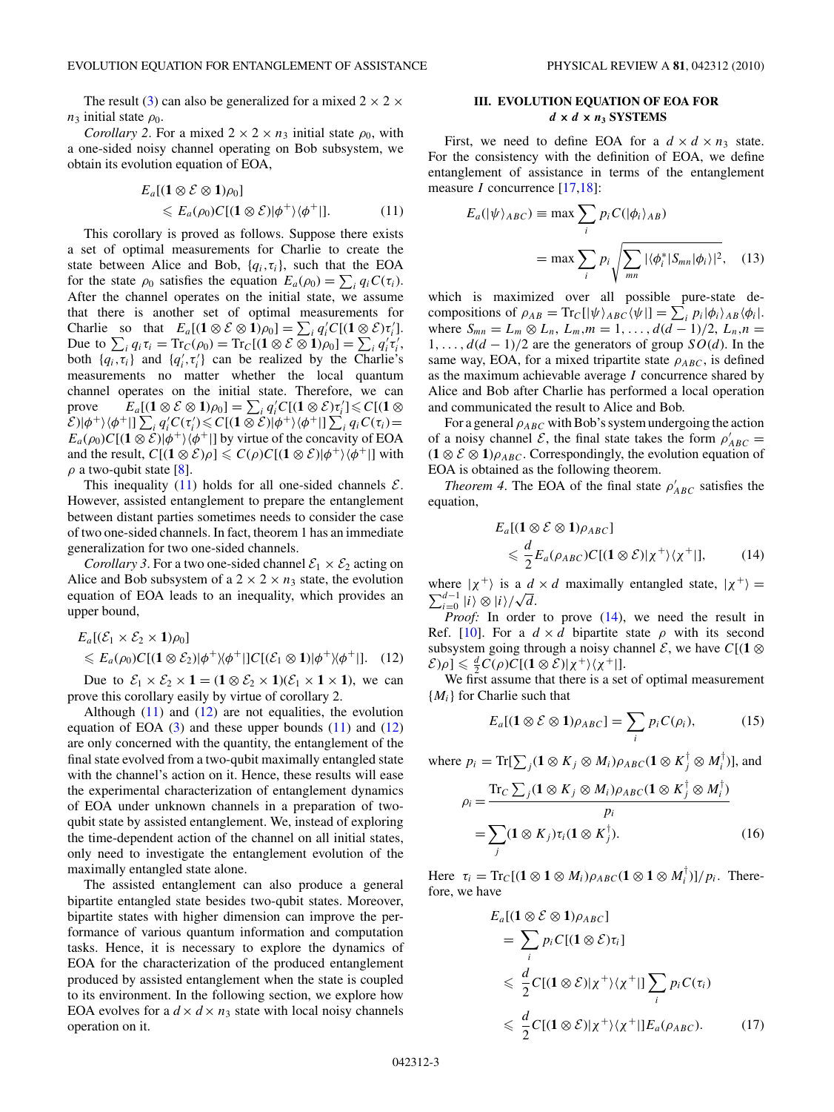<span id="page-2-0"></span>The result [\(3\)](#page-1-0) can also be generalized for a mixed  $2 \times 2 \times$  $n_3$  initial state  $\rho_0$ .

*Corollary 2.* For a mixed  $2 \times 2 \times n_3$  initial state  $\rho_0$ , with a one-sided noisy channel operating on Bob subsystem, we obtain its evolution equation of EOA,

$$
E_a[(1 \otimes \mathcal{E} \otimes 1)\rho_0] \leq E_a(\rho_0)C[(1 \otimes \mathcal{E})|\phi^+\rangle\langle\phi^+|]. \tag{11}
$$

This corollary is proved as follows. Suppose there exists a set of optimal measurements for Charlie to create the state between Alice and Bob, {*qi,τi*}, such that the EOA for the state  $\rho_0$  satisfies the equation  $E_a(\rho_0) = \sum_i q_i C(\tau_i)$ . After the channel operates on the initial state, we assume that there is another set of optimal measurements for Charlie so that  $E_a[(1 \otimes \mathcal{E} \otimes 1)\rho_0] = \sum_i q'_i C[(1 \otimes \mathcal{E})\tau'_i].$ Due to  $\sum_i q_i \tau_i = \text{Tr}_C(\rho_0) = \text{Tr}_C[(1 \otimes \mathcal{E} \otimes 1)\rho_0] = \sum_i q'_i \tau'_i$ , both  $\{q_i, \tau_i\}$  and  $\{q'_i, \tau'_i\}$  can be realized by the Charlie's measurements no matter whether the local quantum channel operates on the initial state. Therefore, we can prove  $E_a[(1 \otimes \mathcal{E} \otimes 1)\rho_0] = \sum_i q_i'C[(1 \otimes \mathcal{E})\tau_i'] \leqslant C[(1 \otimes$  $\mathcal{E}(|\phi^+\rangle\langle\phi^+||\sum_i q_i'C(\tau_i')\leqslant C[(\mathbf{1}\otimes\mathcal{E})|\phi^+\rangle\langle\phi^+||\sum_i q_iC(\tau_i)=$  $E_a(\rho_0)C[(1 \otimes \mathcal{E})] \phi^+ \rangle \langle \phi^+|]$  by virtue of the concavity of EOA and the result,  $C[(1 \otimes \mathcal{E})\rho] \leqslant C(\rho)C[(1 \otimes \mathcal{E})|\phi^+\rangle\langle\phi^+|]$  with  $\rho$  a two-qubit state [\[8\]](#page-4-0).

This inequality (11) holds for all one-sided channels  $\mathcal{E}$ . However, assisted entanglement to prepare the entanglement between distant parties sometimes needs to consider the case of two one-sided channels. In fact, theorem 1 has an immediate generalization for two one-sided channels.

*Corollary 3*. For a two one-sided channel  $\mathcal{E}_1 \times \mathcal{E}_2$  acting on Alice and Bob subsystem of a  $2 \times 2 \times n_3$  state, the evolution equation of EOA leads to an inequality, which provides an upper bound,

$$
E_a[(\mathcal{E}_1 \times \mathcal{E}_2 \times 1)\rho_0]
$$
  
\n
$$
\leq E_a(\rho_0)C[(1 \otimes \mathcal{E}_2)|\phi^+\rangle\langle\phi^+||C[(\mathcal{E}_1 \otimes 1)|\phi^+\rangle\langle\phi^+||. \quad (12)
$$

Due to  $\mathcal{E}_1 \times \mathcal{E}_2 \times \mathbf{1} = (\mathbf{1} \otimes \mathcal{E}_2 \times \mathbf{1})(\mathcal{E}_1 \times \mathbf{1} \times \mathbf{1})$ , we can prove this corollary easily by virtue of corollary 2.

Although  $(11)$  and  $(12)$  are not equalities, the evolution equation of EOA  $(3)$  and these upper bounds  $(11)$  and  $(12)$ are only concerned with the quantity, the entanglement of the final state evolved from a two-qubit maximally entangled state with the channel's action on it. Hence, these results will ease the experimental characterization of entanglement dynamics of EOA under unknown channels in a preparation of twoqubit state by assisted entanglement. We, instead of exploring the time-dependent action of the channel on all initial states, only need to investigate the entanglement evolution of the maximally entangled state alone.

The assisted entanglement can also produce a general bipartite entangled state besides two-qubit states. Moreover, bipartite states with higher dimension can improve the performance of various quantum information and computation tasks. Hence, it is necessary to explore the dynamics of EOA for the characterization of the produced entanglement produced by assisted entanglement when the state is coupled to its environment. In the following section, we explore how EOA evolves for a  $d \times d \times n_3$  state with local noisy channels operation on it.

# **III. EVOLUTION EQUATION OF EOA FOR**  $d \times d \times n_3$  **SYSTEMS**

First, we need to define EOA for a  $d \times d \times n_3$  state. For the consistency with the definition of EOA, we define entanglement of assistance in terms of the entanglement measure *I* concurrence [\[17,18\]](#page-4-0):

$$
E_a(|\psi\rangle_{ABC}) \equiv \max \sum_i p_i C(|\phi_i\rangle_{AB})
$$
  
= max  $\sum_i p_i \sqrt{\sum_{mn} |\langle \phi_i^* | S_{mn} | \phi_i \rangle|^2}$ , (13)

which is maximized over all possible pure-state decompositions of  $\rho_{AB} = \text{Tr}_C[\psi \rangle_{ABC} \langle \psi |] = \sum_i p_i |\phi_i \rangle_{AB} \langle \phi_i |$ . where  $S_{mn} = L_m \otimes L_n$ ,  $L_m, m = 1, ..., d(d-1)/2$ ,  $L_n, n =$ 1*,...,d*(*d* − 1)*/*2 are the generators of group *SO*(*d*). In the same way, EOA, for a mixed tripartite state  $\rho_{ABC}$ , is defined as the maximum achievable average *I* concurrence shared by Alice and Bob after Charlie has performed a local operation and communicated the result to Alice and Bob.

For a general *ρABC* with Bob's system undergoing the action of a noisy channel  $\mathcal{E}$ , the final state takes the form  $\rho'_{ABC}$  $(1 \otimes \mathcal{E} \otimes 1)\rho_{ABC}$ . Correspondingly, the evolution equation of EOA is obtained as the following theorem.

*Theorem 4*. The EOA of the final state  $\rho'_{ABC}$  satisfies the equation,

$$
E_a[(1 \otimes \mathcal{E} \otimes 1)\rho_{ABC}]
$$
  
\$\leq \frac{d}{2}E\_a(\rho\_{ABC})C[(1 \otimes \mathcal{E})|\chi^+\rangle\langle\chi^+|], \qquad (14)\$

where  $|\chi^+ \rangle$  is a  $d \times d$  maximally entangled state,  $|\chi^+ \rangle =$ where  $|\chi|$  is a *d*  $\sum_{i=0}^{d-1} |i\rangle \otimes |i\rangle / \sqrt{d}$ .

*Proof:* In order to prove (14), we need the result in Ref. [\[10\]](#page-4-0). For a  $d \times d$  bipartite state  $\rho$  with its second subsystem going through a noisy channel  $\mathcal{E}$ , we have  $C[(1 \otimes$  $\mathcal{E}[\rho] \leq \frac{d}{2}C(\rho)C[(1 \otimes \mathcal{E})|\chi^+\rangle\langle\chi^+|].$ 

We first assume that there is a set of optimal measurement {*Mi*} for Charlie such that

$$
E_a[(1 \otimes \mathcal{E} \otimes 1)\rho_{ABC}] = \sum_i p_i C(\rho_i), \qquad (15)
$$

where  $p_i = \text{Tr}[\sum_j (\mathbf{1} \otimes K_j \otimes M_i) \rho_{ABC} (\mathbf{1} \otimes K_j^{\dagger} \otimes M_i^{\dagger})]$ , and

$$
\rho_i = \frac{\text{Tr}_C \sum_j (\mathbf{1} \otimes K_j \otimes M_i) \rho_{ABC} (\mathbf{1} \otimes K_j^{\dagger} \otimes M_i^{\dagger})}{p_i}
$$
  
= 
$$
\sum_j (\mathbf{1} \otimes K_j) \tau_i (\mathbf{1} \otimes K_j^{\dagger}).
$$
 (16)

Here  $\tau_i = \text{Tr}_C[(1 \otimes 1 \otimes M_i)\rho_{ABC}(1 \otimes 1 \otimes M_i^{\dagger})]/p_i$ . Therefore, we have

$$
E_a[(1 \otimes \mathcal{E} \otimes 1)\rho_{ABC}]
$$
  
=  $\sum_i p_i C[(1 \otimes \mathcal{E})\tau_i]$   
 $\leq \frac{d}{2}C[(1 \otimes \mathcal{E})|\chi^+\rangle\langle\chi^+|]\sum_i p_i C(\tau_i)$   
 $\leq \frac{d}{2}C[(1 \otimes \mathcal{E})|\chi^+\rangle\langle\chi^+|]E_a(\rho_{ABC}).$  (17)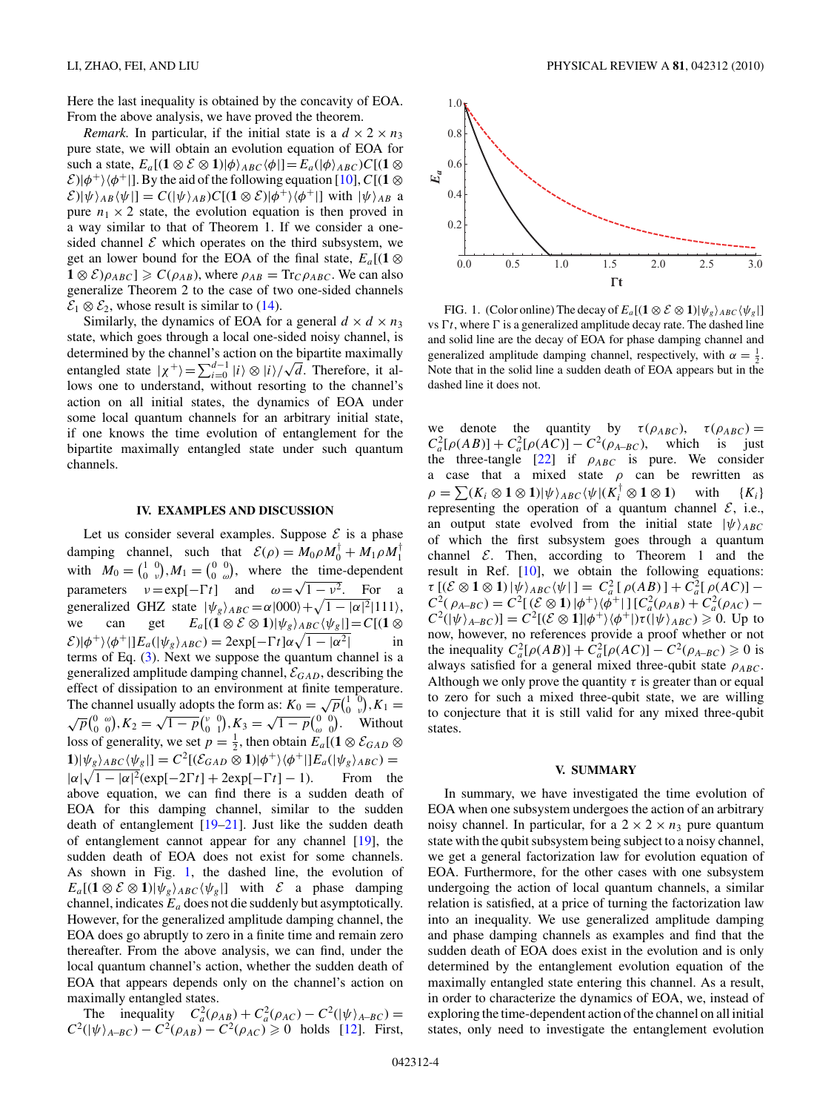<span id="page-3-0"></span>Here the last inequality is obtained by the concavity of EOA. From the above analysis, we have proved the theorem.

*Remark.* In particular, if the initial state is a  $d \times 2 \times n_3$ pure state, we will obtain an evolution equation of EOA for  $\text{such a state, } E_a[(1 \otimes \mathcal{E} \otimes 1)|\phi\rangle_{ABC} \langle \phi|] = E_a(|\phi\rangle_{ABC})C[(1 \otimes$  $\mathcal{E}$ )| $\phi$ <sup>+</sup>)  $\langle \phi$ <sup>+</sup>|]. By the aid of the following equation [\[10\]](#page-4-0), *C*[(1 ⊗  $\mathcal{E}$ )| $\psi$   $\rangle$ <sub>*AB*</sub>  $\langle \psi |$ ] =  $C(|\psi \rangle_{AB})C[(1 \otimes \mathcal{E})|\phi^+ \rangle \langle \phi^+|]$  with  $|\psi \rangle_{AB}$  a pure  $n_1 \times 2$  state, the evolution equation is then proved in a way similar to that of Theorem 1. If we consider a onesided channel  $\mathcal E$  which operates on the third subsystem, we get an lower bound for the EOA of the final state,  $E_a[(1 \otimes$  $1 \otimes \mathcal{E}(\rho_{AB}) \geq C(\rho_{AB})$ , where  $\rho_{AB} = \text{Tr}_{\mathcal{C}}\rho_{ABC}$ . We can also generalize Theorem 2 to the case of two one-sided channels  $\mathcal{E}_1 \otimes \mathcal{E}_2$ , whose result is similar to [\(14\)](#page-2-0).

Similarly, the dynamics of EOA for a general  $d \times d \times n_3$ state, which goes through a local one-sided noisy channel, is determined by the channel's action on the bipartite maximally determined by the channel s action on the original maximally<br>entangled state  $|\chi^+\rangle = \sum_{i=0}^{d-1} |i\rangle \otimes |i\rangle / \sqrt{d}$ . Therefore, it allows one to understand, without resorting to the channel's action on all initial states, the dynamics of EOA under some local quantum channels for an arbitrary initial state, if one knows the time evolution of entanglement for the bipartite maximally entangled state under such quantum channels.

#### **IV. EXAMPLES AND DISCUSSION**

Let us consider several examples. Suppose  $\mathcal E$  is a phase damping channel, such that  $\mathcal{E}(\rho) = M_0 \rho M_0^{\dagger} + M_1 \rho M_1^{\dagger}$ with  $M_0 = \begin{pmatrix} 1 & 0 \\ 0 & \nu \end{pmatrix}$ ,  $M_1 = \begin{pmatrix} 0 & 0 \\ 0 & \omega \end{pmatrix}$ , where the time-dependent *v*<sub>1</sub>  $\mu_0 - \binom{0}{0}$  *<sub>v</sub>* $\mu_1 - \binom{0}{0}$  *ω* $\mu_2$ , where the time-acpendent parameters  $v = \exp[-\Gamma t]$  and  $\omega = \sqrt{1 - v^2}$ . For a generalized GHZ state  $|\psi_{g}\rangle_{ABC} = \alpha|000\rangle + \sqrt{1 - |\alpha|^{2}}|111\rangle$ , we can get  $E_a[(1 \otimes \mathcal{E} \otimes 1)|\psi_g\rangle_{ABC}\langle\psi_g|] = C[(1 \otimes$  $\mathcal{E}(|\phi^+\rangle\langle\phi^+||E_a(|\psi_g\rangle_{ABC}) = 2 \exp[-\Gamma t] \alpha \sqrt{1-|\alpha^2|}$  in terms of Eq. [\(3\)](#page-1-0). Next we suppose the quantum channel is a generalized amplitude damping channel,  $\mathcal{E}_{GAD}$ , describing the effect of dissipation to an environment at finite temperature. The channel usually adopts the form as:  $K_0 = \sqrt{p} {1 \choose 0 \ \nu}$ ,  $K_1 = \sqrt{p} {0 \ \ \omega \choose 0}, K_2 = \sqrt{1-p} {v \choose 0 \ \ 1}, K_3 = \sqrt{1-p} {0 \ \ \omega \choose 0}.$  Without loss of generality, we set  $p = \frac{1}{2}$ , then obtain  $E_a[(1 \otimes \mathcal{E}_{GAD} \otimes$  $1|\psi_{g}\rangle_{ABC}\langle\psi_{g}|] = C^{2}[(\mathcal{E}_{GAD}\otimes1)|\phi^{+}\rangle\langle\phi^{+}||E_{a}(|\psi_{g}\rangle_{ABC})$  $|\alpha|\sqrt{1-|\alpha|^2}(\exp[-2\Gamma t]+2\exp[-\Gamma$ From the above equation, we can find there is a sudden death of EOA for this damping channel, similar to the sudden death of entanglement [\[19–21\]](#page-4-0). Just like the sudden death of entanglement cannot appear for any channel [\[19\]](#page-4-0), the sudden death of EOA does not exist for some channels. As shown in Fig. 1, the dashed line, the evolution of  $E_a[(1 \otimes \mathcal{E} \otimes 1)|\psi_g\rangle_{ABC}\langle \psi_g|]$  with  $\mathcal{E}$  a phase damping channel, indicates *Ea* does not die suddenly but asymptotically. However, for the generalized amplitude damping channel, the EOA does go abruptly to zero in a finite time and remain zero thereafter. From the above analysis, we can find, under the local quantum channel's action, whether the sudden death of EOA that appears depends only on the channel's action on maximally entangled states.

The inequality  $C_a^2(\rho_{AB}) + C_a^2(\rho_{AC}) - C^2(|\psi\rangle_{A-BC}) =$  $C^2(|\psi\rangle_{A-BC}) - C^2(\rho_{AB}) - C^2(\rho_{AC}) \geq 0$  holds [\[12\]](#page-4-0). First,



FIG. 1. (Color online) The decay of  $E_a[(\mathbf{1} \otimes \mathcal{E} \otimes \mathbf{1})|\psi_g\rangle_{ABC}\langle\psi_g|]$ vs  $\Gamma t$ , where  $\Gamma$  is a generalized amplitude decay rate. The dashed line and solid line are the decay of EOA for phase damping channel and generalized amplitude damping channel, respectively, with  $\alpha = \frac{1}{2}$ . Note that in the solid line a sudden death of EOA appears but in the dashed line it does not.

we denote the quantity by  $\tau(\rho_{ABC})$ ,  $\tau(\rho_{ABC})$  $C_a^2[\rho(AB)] + C_a^2[\rho(AC)] - C^2(\rho_{A-BC})$ , which is just the three-tangle  $[22]$  if  $\rho_{ABC}$  is pure. We consider a case that a mixed state *ρ* can be rewritten as  $\rho = \sum (K_i \otimes \mathbf{1} \otimes \mathbf{1}) |\psi\rangle_{ABC} \langle \psi | (K_i^{\top} \otimes \mathbf{1} \otimes \mathbf{1})$  with  $\{K_i\}$ representing the operation of a quantum channel  $\mathcal{E}$ , i.e., an output state evolved from the initial state  $|\psi\rangle_{ABC}$ of which the first subsystem goes through a quantum channel  $E$ . Then, according to Theorem 1 and the result in Ref. [\[10\]](#page-4-0), we obtain the following equations:  $\tau$ <sup>[</sup>(E ⊗ **1** ⊗ **1**)  $|\psi\rangle_{ABC} \langle \psi|$ ] =  $C_a^2$  [  $\rho(AB)$ ] +  $C_a^2$ [  $\rho(AC)$ ] –  $C^{2}(\rho_{A-BC}) = C^{2}[(\mathcal{E} \otimes \mathbf{1})|\phi^{+}\rangle\langle\phi^{+}|] [C_{a}^{2}(\rho_{AB}) + C_{a}^{2}(\rho_{AC}) C^2(|\psi\rangle_{A-BC})$ ] =  $C^2[(\mathcal{E} \otimes \mathbf{1}]|\phi^+\rangle\langle\phi^+|)\tau(|\psi\rangle_{ABC}) \geq 0$ . Up to now, however, no references provide a proof whether or not the inequality  $C_a^2[\rho(AB)] + C_a^2[\rho(AC)] - C^2(\rho_{A-BC}) \ge 0$  is always satisfied for a general mixed three-qubit state  $\rho_{ABC}$ . Although we only prove the quantity  $\tau$  is greater than or equal to zero for such a mixed three-qubit state, we are willing to conjecture that it is still valid for any mixed three-qubit states.

#### **V. SUMMARY**

In summary, we have investigated the time evolution of EOA when one subsystem undergoes the action of an arbitrary noisy channel. In particular, for a  $2 \times 2 \times n_3$  pure quantum state with the qubit subsystem being subject to a noisy channel, we get a general factorization law for evolution equation of EOA. Furthermore, for the other cases with one subsystem undergoing the action of local quantum channels, a similar relation is satisfied, at a price of turning the factorization law into an inequality. We use generalized amplitude damping and phase damping channels as examples and find that the sudden death of EOA does exist in the evolution and is only determined by the entanglement evolution equation of the maximally entangled state entering this channel. As a result, in order to characterize the dynamics of EOA, we, instead of exploring the time-dependent action of the channel on all initial states, only need to investigate the entanglement evolution